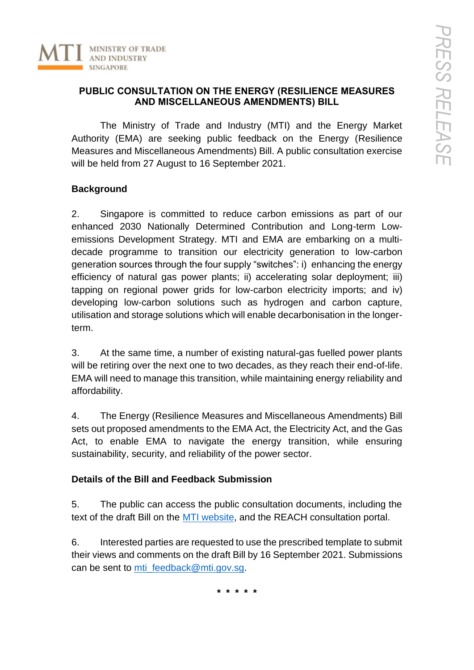

## **PUBLIC CONSULTATION ON THE ENERGY (RESILIENCE MEASURES AND MISCELLANEOUS AMENDMENTS) BILL**

The Ministry of Trade and Industry (MTI) and the Energy Market Authority (EMA) are seeking public feedback on the Energy (Resilience Measures and Miscellaneous Amendments) Bill. A public consultation exercise will be held from 27 August to 16 September 2021.

## **Background**

2. Singapore is committed to reduce carbon emissions as part of our enhanced 2030 Nationally Determined Contribution and Long-term Lowemissions Development Strategy. MTI and EMA are embarking on a multidecade programme to transition our electricity generation to low-carbon generation sources through the four supply "switches": i) enhancing the energy efficiency of natural gas power plants; ii) accelerating solar deployment; iii) tapping on regional power grids for low-carbon electricity imports; and iv) developing low-carbon solutions such as hydrogen and carbon capture, utilisation and storage solutions which will enable decarbonisation in the longerterm.

3. At the same time, a number of existing natural-gas fuelled power plants will be retiring over the next one to two decades, as they reach their end-of-life. EMA will need to manage this transition, while maintaining energy reliability and affordability.

4. The Energy (Resilience Measures and Miscellaneous Amendments) Bill sets out proposed amendments to the EMA Act, the Electricity Act, and the Gas Act, to enable EMA to navigate the energy transition, while ensuring sustainability, security, and reliability of the power sector.

## **Details of the Bill and Feedback Submission**

5. The public can access the public consultation documents, including the text of the draft Bill on the [MTI website,](https://www.mti.gov.sg/Legislation/Public-Consultations/Active-Consultations/Public-Consultation-on-Energy-Resilience-Measures-and-Miscellaneous-Amendments-Bill) and the REACH consultation portal.

6. Interested parties are requested to use the prescribed template to submit their views and comments on the draft Bill by 16 September 2021. Submissions can be sent to  $mti$  feedback@mti.gov.sg.

**\* \* \* \* \***